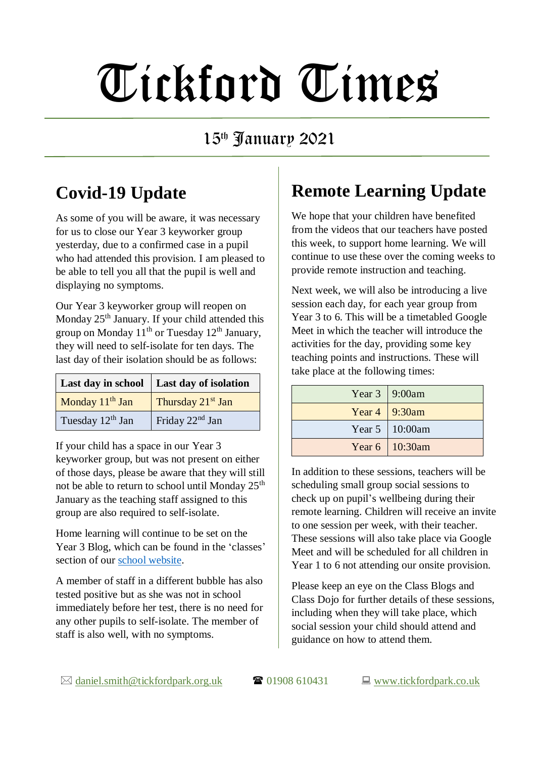# Tickford Times

#### 15th January 2021

### **Covid-19 Update**

As some of you will be aware, it was necessary for us to close our Year 3 keyworker group yesterday, due to a confirmed case in a pupil who had attended this provision. I am pleased to be able to tell you all that the pupil is well and displaying no symptoms.

Our Year 3 keyworker group will reopen on Monday 25<sup>th</sup> January. If your child attended this group on Monday  $11<sup>th</sup>$  or Tuesday  $12<sup>th</sup>$  January, they will need to self-isolate for ten days. The last day of their isolation should be as follows:

|                              | Last day in school   Last day of isolation |  |
|------------------------------|--------------------------------------------|--|
| Monday 11 <sup>th</sup> Jan  | Thursday 21 <sup>st</sup> Jan              |  |
| Tuesday 12 <sup>th</sup> Jan | Friday 22 <sup>nd</sup> Jan                |  |

If your child has a space in our Year 3 keyworker group, but was not present on either of those days, please be aware that they will still not be able to return to school until Monday  $25<sup>th</sup>$ January as the teaching staff assigned to this group are also required to self-isolate.

Home learning will continue to be set on the Year 3 Blog, which can be found in the 'classes' section of our [school website.](https://www.tickfordpark.co.uk/)

A member of staff in a different bubble has also tested positive but as she was not in school immediately before her test, there is no need for any other pupils to self-isolate. The member of staff is also well, with no symptoms.

## **Remote Learning Update**

We hope that your children have benefited from the videos that our teachers have posted this week, to support home learning. We will continue to use these over the coming weeks to provide remote instruction and teaching.

Next week, we will also be introducing a live session each day, for each year group from Year 3 to 6. This will be a timetabled Google Meet in which the teacher will introduce the activities for the day, providing some key teaching points and instructions. These will take place at the following times:

| Year $3 \mid 9:00$ am |
|-----------------------|
| Year $4 \mid 9:30$ am |
| Year 5 10:00am        |
| Year 6   10:30am      |

In addition to these sessions, teachers will be scheduling small group social sessions to check up on pupil's wellbeing during their remote learning. Children will receive an invite to one session per week, with their teacher. These sessions will also take place via Google Meet and will be scheduled for all children in Year 1 to 6 not attending our onsite provision.

Please keep an eye on the Class Blogs and Class Dojo for further details of these sessions, including when they will take place, which social session your child should attend and guidance on how to attend them.